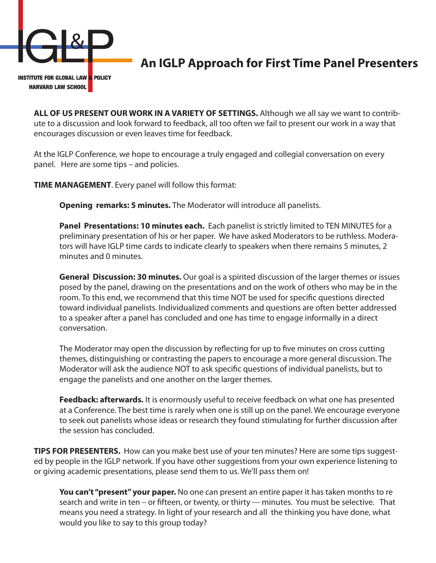

## **An IGLP Approach for First Time Panel Presenters**

**ALL OF US PRESENT OUR WORK IN A VARIETY OF SETTINGS.** Although we all say we want to contribute to a discussion and look forward to feedback, all too often we fail to present our work in a way that encourages discussion or even leaves time for feedback.

At the IGLP Conference, we hope to encourage a truly engaged and collegial conversation on every panel. Here are some tips – and policies.

**TIME MANAGEMENT**. Every panel will follow this format:

**Opening remarks: 5 minutes.** The Moderator will introduce all panelists.

**Panel Presentations: 10 minutes each.** Each panelist is strictly limited to TEN MINUTES for a preliminary presentation of his or her paper. We have asked Moderators to be ruthless. Moderators will have IGLP time cards to indicate clearly to speakers when there remains 5 minutes, 2 minutes and 0 minutes.

**General Discussion: 30 minutes.** Our goal is a spirited discussion of the larger themes or issues posed by the panel, drawing on the presentations and on the work of others who may be in the room. To this end, we recommend that this time NOT be used for specific questions directed toward individual panelists. Individualized comments and questions are often better addressed to a speaker after a panel has concluded and one has time to engage informally in a direct conversation.

The Moderator may open the discussion by reflecting for up to five minutes on cross cutting themes, distinguishing or contrasting the papers to encourage a more general discussion. The Moderator will ask the audience NOT to ask specific questions of individual panelists, but to engage the panelists and one another on the larger themes.

**Feedback: afterwards.** It is enormously useful to receive feedback on what one has presented at a Conference. The best time is rarely when one is still up on the panel. We encourage everyone to seek out panelists whose ideas or research they found stimulating for further discussion after the session has concluded.

**TIPS FOR PRESENTERS.** How can you make best use of your ten minutes? Here are some tips suggested by people in the IGLP network. If you have other suggestions from your own experience listening to or giving academic presentations, please send them to us. We'll pass them on!

You can't "present" your paper. No one can present an entire paper it has taken months to re search and write in ten – or fifteen, or twenty, or thirty --- minutes. You must be selective. That means you need a strategy. In light of your research and all the thinking you have done, what would you like to say to this group today?